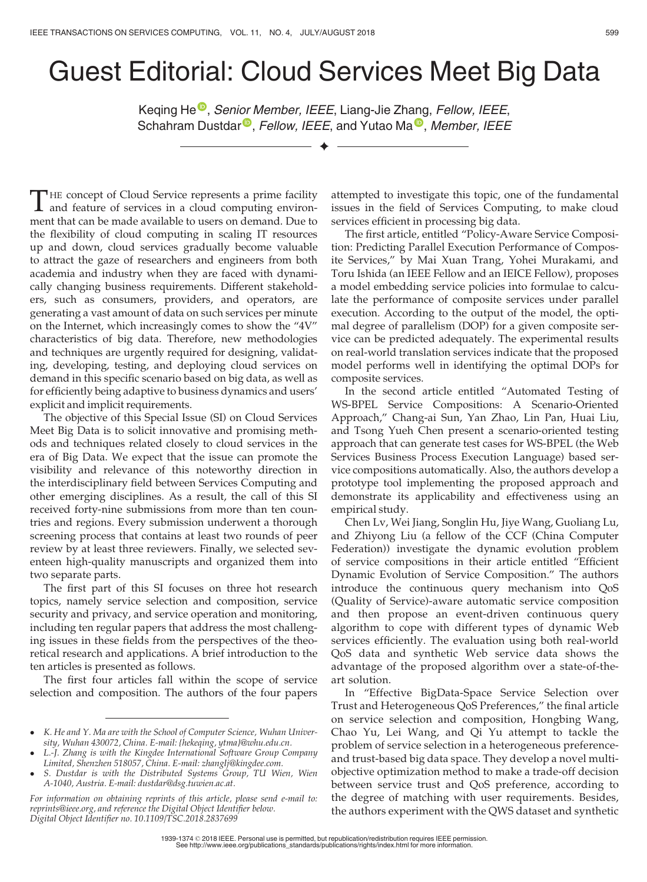## Guest Editorial: Cloud Services Meet Big Data

K[e](https://orcid.org/0000-0002-7554-3638)qing He<sup>o</sup>[,](https://orcid.org/0000-0002-7554-3638) Seni[o](https://orcid.org/0000-0001-6872-8821)r Member, IEEE, Li[a](https://orcid.org/0000-0003-4239-2009)ng-Jie Zhang, Fellow, IEEE, Schahram Dustdar<sup>®</sup>[,](https://orcid.org/0000-0003-4239-2009) Fellow, IEEE, and Yutao Ma<sup>®</sup>, Member, IEEE

 $\blacklozenge$ 

THE concept of Cloud Service represents a prime facility<br>and feature of services in a cloud computing environ-<br>mont that can be made available to years on domand. Due to ment that can be made available to users on demand. Due to the flexibility of cloud computing in scaling IT resources up and down, cloud services gradually become valuable to attract the gaze of researchers and engineers from both academia and industry when they are faced with dynamically changing business requirements. Different stakeholders, such as consumers, providers, and operators, are generating a vast amount of data on such services per minute on the Internet, which increasingly comes to show the "4V" characteristics of big data. Therefore, new methodologies and techniques are urgently required for designing, validating, developing, testing, and deploying cloud services on demand in this specific scenario based on big data, as well as for efficiently being adaptive to business dynamics and users' explicit and implicit requirements.

The objective of this Special Issue (SI) on Cloud Services Meet Big Data is to solicit innovative and promising methods and techniques related closely to cloud services in the era of Big Data. We expect that the issue can promote the visibility and relevance of this noteworthy direction in the interdisciplinary field between Services Computing and other emerging disciplines. As a result, the call of this SI received forty-nine submissions from more than ten countries and regions. Every submission underwent a thorough screening process that contains at least two rounds of peer review by at least three reviewers. Finally, we selected seventeen high-quality manuscripts and organized them into two separate parts.

The first part of this SI focuses on three hot research topics, namely service selection and composition, service security and privacy, and service operation and monitoring, including ten regular papers that address the most challenging issues in these fields from the perspectives of the theoretical research and applications. A brief introduction to the ten articles is presented as follows.

The first four articles fall within the scope of service selection and composition. The authors of the four papers

attempted to investigate this topic, one of the fundamental issues in the field of Services Computing, to make cloud services efficient in processing big data.

The first article, entitled "Policy-Aware Service Composition: Predicting Parallel Execution Performance of Composite Services," by Mai Xuan Trang, Yohei Murakami, and Toru Ishida (an IEEE Fellow and an IEICE Fellow), proposes a model embedding service policies into formulae to calculate the performance of composite services under parallel execution. According to the output of the model, the optimal degree of parallelism (DOP) for a given composite service can be predicted adequately. The experimental results on real-world translation services indicate that the proposed model performs well in identifying the optimal DOPs for composite services.

In the second article entitled "Automated Testing of WS-BPEL Service Compositions: A Scenario-Oriented Approach," Chang-ai Sun, Yan Zhao, Lin Pan, Huai Liu, and Tsong Yueh Chen present a scenario-oriented testing approach that can generate test cases for WS-BPEL (the Web Services Business Process Execution Language) based service compositions automatically. Also, the authors develop a prototype tool implementing the proposed approach and demonstrate its applicability and effectiveness using an empirical study.

Chen Lv, Wei Jiang, Songlin Hu, Jiye Wang, Guoliang Lu, and Zhiyong Liu (a fellow of the CCF (China Computer Federation)) investigate the dynamic evolution problem of service compositions in their article entitled "Efficient Dynamic Evolution of Service Composition." The authors introduce the continuous query mechanism into QoS (Quality of Service)-aware automatic service composition and then propose an event-driven continuous query algorithm to cope with different types of dynamic Web services efficiently. The evaluation using both real-world QoS data and synthetic Web service data shows the advantage of the proposed algorithm over a state-of-theart solution.

In "Effective BigData-Space Service Selection over Trust and Heterogeneous QoS Preferences," the final article on service selection and composition, Hongbing Wang, Chao Yu, Lei Wang, and Qi Yu attempt to tackle the problem of service selection in a heterogeneous preferenceand trust-based big data space. They develop a novel multiobjective optimization method to make a trade-off decision between service trust and QoS preference, according to the degree of matching with user requirements. Besides, the authors experiment with the QWS dataset and synthetic

K. He and Y. Ma are with the School of Computer Science, Wuhan University, Wuhan 430072, China. E-mail: [{hekeqing, ytma}@whu.edu.cn](mailto:).

L.-J. Zhang is with the Kingdee International Software Group Company Limited, Shenzhen 518057, China. E-mail: [zhanglj@kingdee.com](mailto:).

S. Dustdar is with the Distributed Systems Group, TU Wien, Wien A-1040, Austria. E-mail: [dustdar@dsg.tuwien.ac.at.](mailto:)

For information on obtaining reprints of this article, please send e-mail to: reprints@ieee.org, and reference the Digital Object Identifier below. Digital Object Identifier no. 10.1109/TSC.2018.2837699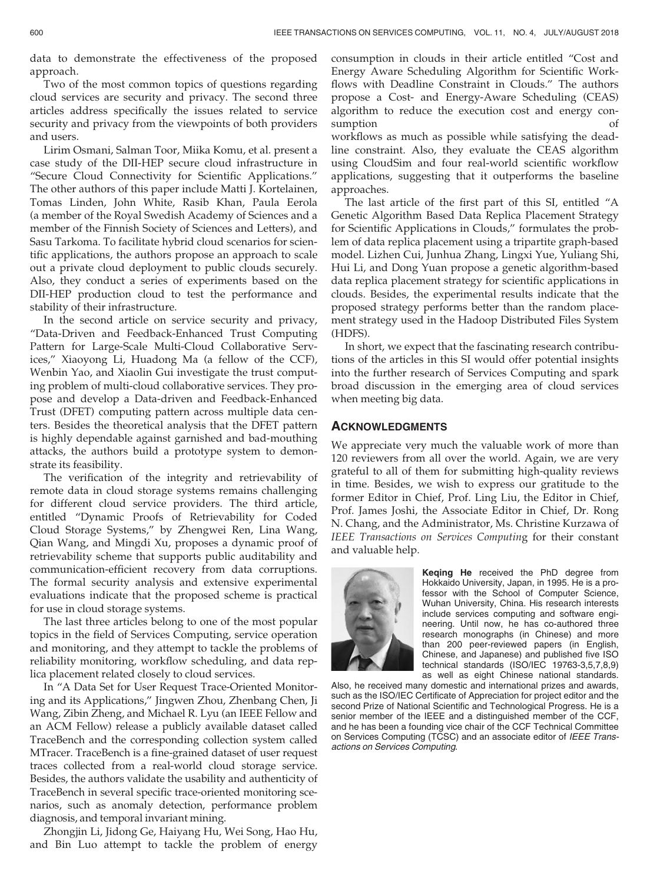data to demonstrate the effectiveness of the proposed approach.

Two of the most common topics of questions regarding cloud services are security and privacy. The second three articles address specifically the issues related to service security and privacy from the viewpoints of both providers and users.

Lirim Osmani, Salman Toor, Miika Komu, et al. present a case study of the DII-HEP secure cloud infrastructure in "Secure Cloud Connectivity for Scientific Applications." The other authors of this paper include Matti J. Kortelainen, Tomas Linden, John White, Rasib Khan, Paula Eerola (a member of the Royal Swedish Academy of Sciences and a member of the Finnish Society of Sciences and Letters), and Sasu Tarkoma. To facilitate hybrid cloud scenarios for scientific applications, the authors propose an approach to scale out a private cloud deployment to public clouds securely. Also, they conduct a series of experiments based on the DII-HEP production cloud to test the performance and stability of their infrastructure.

In the second article on service security and privacy, "Data-Driven and Feedback-Enhanced Trust Computing Pattern for Large-Scale Multi-Cloud Collaborative Services," Xiaoyong Li, Huadong Ma (a fellow of the CCF), Wenbin Yao, and Xiaolin Gui investigate the trust computing problem of multi-cloud collaborative services. They propose and develop a Data-driven and Feedback-Enhanced Trust (DFET) computing pattern across multiple data centers. Besides the theoretical analysis that the DFET pattern is highly dependable against garnished and bad-mouthing attacks, the authors build a prototype system to demonstrate its feasibility.

The verification of the integrity and retrievability of remote data in cloud storage systems remains challenging for different cloud service providers. The third article, entitled "Dynamic Proofs of Retrievability for Coded Cloud Storage Systems," by Zhengwei Ren, Lina Wang, Qian Wang, and Mingdi Xu, proposes a dynamic proof of retrievability scheme that supports public auditability and communication-efficient recovery from data corruptions. The formal security analysis and extensive experimental evaluations indicate that the proposed scheme is practical for use in cloud storage systems.

The last three articles belong to one of the most popular topics in the field of Services Computing, service operation and monitoring, and they attempt to tackle the problems of reliability monitoring, workflow scheduling, and data replica placement related closely to cloud services.

In "A Data Set for User Request Trace-Oriented Monitoring and its Applications," Jingwen Zhou, Zhenbang Chen, Ji Wang, Zibin Zheng, and Michael R. Lyu (an IEEE Fellow and an ACM Fellow) release a publicly available dataset called TraceBench and the corresponding collection system called MTracer. TraceBench is a fine-grained dataset of user request traces collected from a real-world cloud storage service. Besides, the authors validate the usability and authenticity of TraceBench in several specific trace-oriented monitoring scenarios, such as anomaly detection, performance problem diagnosis, and temporal invariant mining.

Zhongjin Li, Jidong Ge, Haiyang Hu, Wei Song, Hao Hu, and Bin Luo attempt to tackle the problem of energy consumption in clouds in their article entitled "Cost and Energy Aware Scheduling Algorithm for Scientific Workflows with Deadline Constraint in Clouds." The authors propose a Cost- and Energy-Aware Scheduling (CEAS) algorithm to reduce the execution cost and energy consumption of

workflows as much as possible while satisfying the deadline constraint. Also, they evaluate the CEAS algorithm using CloudSim and four real-world scientific workflow applications, suggesting that it outperforms the baseline approaches.

The last article of the first part of this SI, entitled "A Genetic Algorithm Based Data Replica Placement Strategy for Scientific Applications in Clouds," formulates the problem of data replica placement using a tripartite graph-based model. Lizhen Cui, Junhua Zhang, Lingxi Yue, Yuliang Shi, Hui Li, and Dong Yuan propose a genetic algorithm-based data replica placement strategy for scientific applications in clouds. Besides, the experimental results indicate that the proposed strategy performs better than the random placement strategy used in the Hadoop Distributed Files System (HDFS).

In short, we expect that the fascinating research contributions of the articles in this SI would offer potential insights into the further research of Services Computing and spark broad discussion in the emerging area of cloud services when meeting big data.

## **ACKNOWLEDGMENTS**

We appreciate very much the valuable work of more than 120 reviewers from all over the world. Again, we are very grateful to all of them for submitting high-quality reviews in time. Besides, we wish to express our gratitude to the former Editor in Chief, Prof. Ling Liu, the Editor in Chief, Prof. James Joshi, the Associate Editor in Chief, Dr. Rong N. Chang, and the Administrator, Ms. Christine Kurzawa of IEEE Transactions on Services Computing for their constant and valuable help.



Keqing He received the PhD degree from Hokkaido University, Japan, in 1995. He is a professor with the School of Computer Science, Wuhan University, China. His research interests include services computing and software engineering. Until now, he has co-authored three research monographs (in Chinese) and more than 200 peer-reviewed papers (in English, Chinese, and Japanese) and published five ISO technical standards (ISO/IEC 19763-3,5,7,8,9) as well as eight Chinese national standards.

Also, he received many domestic and international prizes and awards, such as the ISO/IEC Certificate of Appreciation for project editor and the second Prize of National Scientific and Technological Progress. He is a senior member of the IEEE and a distinguished member of the CCF, and he has been a founding vice chair of the CCF Technical Committee on Services Computing (TCSC) and an associate editor of IEEE Transactions on Services Computing.